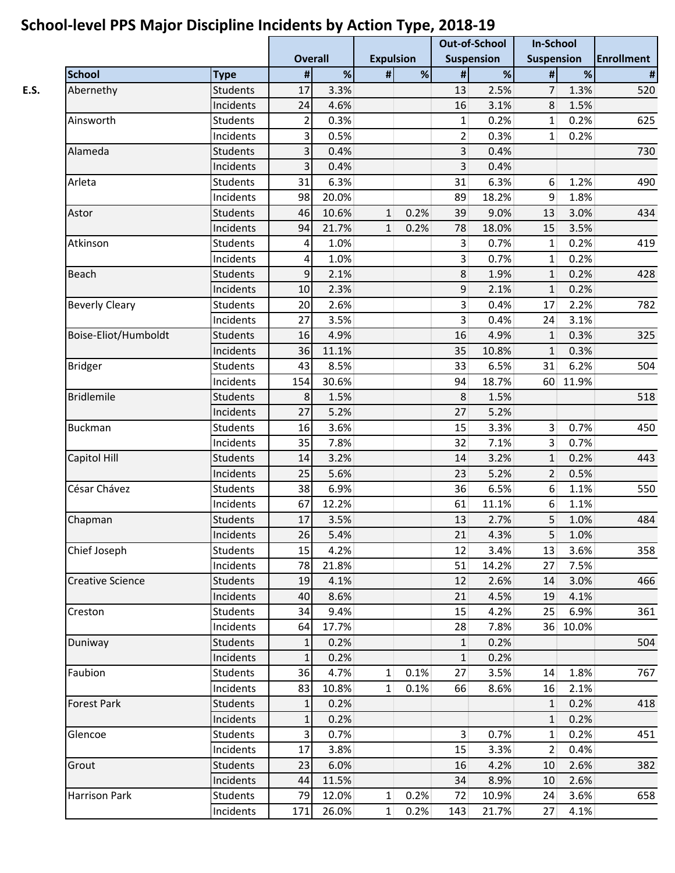|                         |                 |                |       |                  |      | <b>Out-of-School</b><br><b>In-School</b><br><b>Suspension</b><br><b>Suspension</b> |       |                         |       |                   |
|-------------------------|-----------------|----------------|-------|------------------|------|------------------------------------------------------------------------------------|-------|-------------------------|-------|-------------------|
|                         |                 | <b>Overall</b> |       | <b>Expulsion</b> |      |                                                                                    |       |                         |       | <b>Enrollment</b> |
| <b>School</b>           | <b>Type</b>     | $\pmb{\#}$     | %     | #                | $\%$ | #                                                                                  | %     | #                       | $\%$  | $\#$              |
| Abernethy               | <b>Students</b> | 17             | 3.3%  |                  |      | 13                                                                                 | 2.5%  | 7                       | 1.3%  | 520               |
|                         | Incidents       | 24             | 4.6%  |                  |      | 16                                                                                 | 3.1%  | 8                       | 1.5%  |                   |
| Ainsworth               | Students        | 2              | 0.3%  |                  |      | $\mathbf{1}$                                                                       | 0.2%  | 1                       | 0.2%  | 625               |
|                         | Incidents       | 3              | 0.5%  |                  |      | $\overline{2}$                                                                     | 0.3%  | 1                       | 0.2%  |                   |
| Alameda                 | <b>Students</b> | 3              | 0.4%  |                  |      | $\overline{3}$                                                                     | 0.4%  |                         |       | 730               |
|                         | Incidents       | 3              | 0.4%  |                  |      | 3                                                                                  | 0.4%  |                         |       |                   |
| Arleta                  | <b>Students</b> | 31             | 6.3%  |                  |      | 31                                                                                 | 6.3%  | 6                       | 1.2%  | 490               |
|                         | Incidents       | 98             | 20.0% |                  |      | 89                                                                                 | 18.2% | 9                       | 1.8%  |                   |
| Astor                   | <b>Students</b> | 46             | 10.6% | $\mathbf{1}$     | 0.2% | 39                                                                                 | 9.0%  | 13                      | 3.0%  | 434               |
|                         | Incidents       | 94             | 21.7% | 1                | 0.2% | 78                                                                                 | 18.0% | 15                      | 3.5%  |                   |
| Atkinson                | <b>Students</b> | 4              | 1.0%  |                  |      | 3                                                                                  | 0.7%  | $\mathbf{1}$            | 0.2%  | 419               |
|                         | Incidents       | 4              | 1.0%  |                  |      | $\overline{\mathbf{3}}$                                                            | 0.7%  | 1                       | 0.2%  |                   |
| Beach                   | <b>Students</b> | 9              | 2.1%  |                  |      | 8 <sup>°</sup>                                                                     | 1.9%  | $\mathbf{1}$            | 0.2%  | 428               |
|                         | Incidents       | 10             | 2.3%  |                  |      | 9                                                                                  | 2.1%  | $\mathbf{1}$            | 0.2%  |                   |
| <b>Beverly Cleary</b>   | <b>Students</b> | 20             | 2.6%  |                  |      | $\overline{\mathbf{3}}$                                                            | 0.4%  | 17                      | 2.2%  | 782               |
|                         | Incidents       | 27             | 3.5%  |                  |      | 3 <sup>1</sup>                                                                     | 0.4%  | 24                      | 3.1%  |                   |
| Boise-Eliot/Humboldt    | <b>Students</b> | 16             | 4.9%  |                  |      | 16                                                                                 | 4.9%  | $\mathbf{1}$            | 0.3%  | 325               |
|                         | Incidents       | 36             | 11.1% |                  |      | 35                                                                                 | 10.8% | $\mathbf{1}$            | 0.3%  |                   |
| <b>Bridger</b>          | <b>Students</b> | 43             | 8.5%  |                  |      | 33                                                                                 | 6.5%  | 31                      | 6.2%  | 504               |
|                         | Incidents       | 154            | 30.6% |                  |      | 94                                                                                 | 18.7% | 60                      | 11.9% |                   |
| <b>Bridlemile</b>       | <b>Students</b> | 8              | 1.5%  |                  |      | 8                                                                                  | 1.5%  |                         |       | 518               |
|                         | Incidents       | 27             | 5.2%  |                  |      | 27                                                                                 | 5.2%  |                         |       |                   |
| <b>Buckman</b>          | <b>Students</b> | 16             | 3.6%  |                  |      | 15                                                                                 | 3.3%  | $\overline{\mathbf{3}}$ | 0.7%  | 450               |
|                         | Incidents       | 35             | 7.8%  |                  |      | 32                                                                                 | 7.1%  | 3                       | 0.7%  |                   |
| Capitol Hill            | Students        | 14             | 3.2%  |                  |      | 14                                                                                 | 3.2%  |                         | 0.2%  | 443               |
|                         | Incidents       | 25             | 5.6%  |                  |      | 23                                                                                 | 5.2%  | 1<br>2                  | 0.5%  |                   |
| César Chávez            | <b>Students</b> | 38             | 6.9%  |                  |      | 36                                                                                 | 6.5%  | 6                       | 1.1%  | 550               |
|                         | Incidents       | 67             | 12.2% |                  |      | 61                                                                                 | 11.1% |                         | 1.1%  |                   |
| Chapman                 | Students        | 17             | 3.5%  |                  |      | 13                                                                                 |       | 6<br>5                  | 1.0%  | 484               |
|                         |                 |                |       |                  |      |                                                                                    | 2.7%  |                         |       |                   |
|                         | Incidents       | 26             | 5.4%  |                  |      | 21                                                                                 | 4.3%  | 5                       | 1.0%  |                   |
| Chief Joseph            | Students        | 15             | 4.2%  |                  |      | 12                                                                                 | 3.4%  | 13                      | 3.6%  | 358               |
|                         | Incidents       | 78             | 21.8% |                  |      | 51                                                                                 | 14.2% | 27                      | 7.5%  |                   |
| <b>Creative Science</b> | Students        | 19             | 4.1%  |                  |      | 12                                                                                 | 2.6%  | 14                      | 3.0%  | 466               |
|                         | Incidents       | 40             | 8.6%  |                  |      | 21                                                                                 | 4.5%  | 19                      | 4.1%  |                   |
| Creston                 | <b>Students</b> | 34             | 9.4%  |                  |      | 15                                                                                 | 4.2%  | 25                      | 6.9%  | 361               |
|                         | Incidents       | 64             | 17.7% |                  |      | 28                                                                                 | 7.8%  | 36                      | 10.0% |                   |
| Duniway                 | Students        | 1              | 0.2%  |                  |      | $\mathbf{1}$                                                                       | 0.2%  |                         |       | 504               |
|                         | Incidents       | 1              | 0.2%  |                  |      | 1                                                                                  | 0.2%  |                         |       |                   |
| Faubion                 | Students        | 36             | 4.7%  | $1\vert$         | 0.1% | 27                                                                                 | 3.5%  | 14                      | 1.8%  | 767               |
|                         | Incidents       | 83             | 10.8% | 1                | 0.1% | 66                                                                                 | 8.6%  | 16                      | 2.1%  |                   |
| <b>Forest Park</b>      | Students        | 1              | 0.2%  |                  |      |                                                                                    |       | $\mathbf{1}$            | 0.2%  | 418               |
|                         | Incidents       | $\mathbf{1}$   | 0.2%  |                  |      |                                                                                    |       | $\mathbf{1}$            | 0.2%  |                   |
| Glencoe                 | Students        | 3              | 0.7%  |                  |      | 3 <sup>1</sup>                                                                     | 0.7%  | $\mathbf{1}$            | 0.2%  | 451               |
|                         | Incidents       | 17             | 3.8%  |                  |      | 15                                                                                 | 3.3%  | $\overline{2}$          | 0.4%  |                   |
| Grout                   | Students        | 23             | 6.0%  |                  |      | 16                                                                                 | 4.2%  | 10                      | 2.6%  | 382               |
|                         | Incidents       | 44             | 11.5% |                  |      | 34                                                                                 | 8.9%  | 10                      | 2.6%  |                   |
| Harrison Park           | Students        | 79             | 12.0% | 1 <sup>1</sup>   | 0.2% | 72                                                                                 | 10.9% | 24                      | 3.6%  | 658               |
|                         | Incidents       | 171            | 26.0% | 1                | 0.2% | 143                                                                                | 21.7% | 27                      | 4.1%  |                   |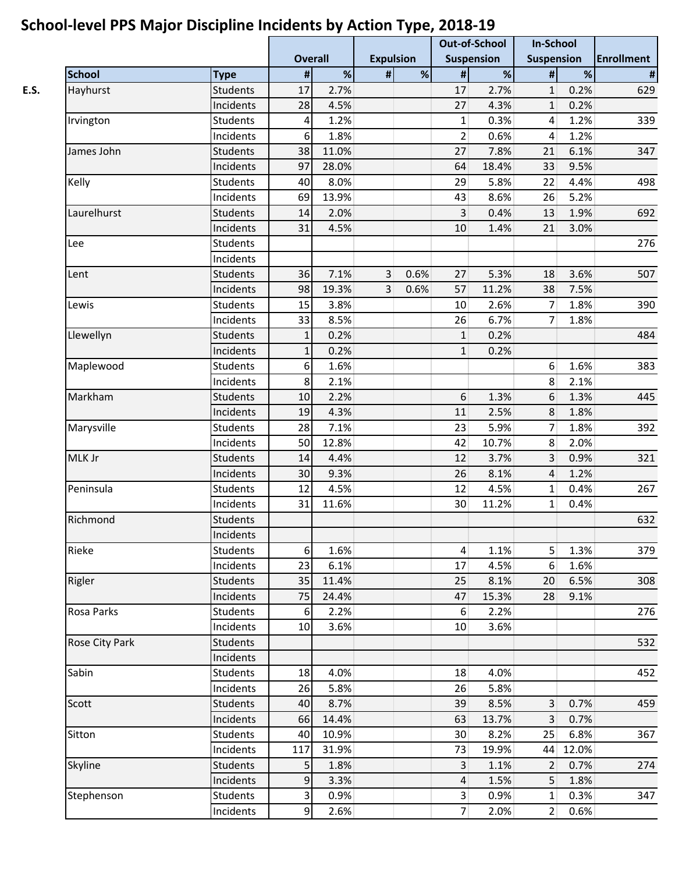|                |                 |                |       | . .                     |                  | <b>Out-of-School</b>    |                   | <b>In-School</b>  |       |            |
|----------------|-----------------|----------------|-------|-------------------------|------------------|-------------------------|-------------------|-------------------|-------|------------|
|                |                 | <b>Overall</b> |       |                         | <b>Expulsion</b> |                         | <b>Suspension</b> | <b>Suspension</b> |       | Enrollment |
| <b>School</b>  | <b>Type</b>     | $\pmb{\#}$     | $\%$  | #                       | $\%$             | $\pmb{\#}$              | %                 | #                 | $\%$  | #          |
| Hayhurst       | <b>Students</b> | 17             | 2.7%  |                         |                  | 17                      | 2.7%              | $\mathbf{1}$      | 0.2%  | 629        |
|                | Incidents       | 28             | 4.5%  |                         |                  | 27                      | 4.3%              | $\mathbf{1}$      | 0.2%  |            |
| Irvington      | <b>Students</b> | 4              | 1.2%  |                         |                  | $\mathbf{1}$            | 0.3%              | 4                 | 1.2%  | 339        |
|                | Incidents       | 6              | 1.8%  |                         |                  | $\overline{2}$          | 0.6%              | 4                 | 1.2%  |            |
| James John     | <b>Students</b> | 38             | 11.0% |                         |                  | 27                      | 7.8%              | 21                | 6.1%  | 347        |
|                | Incidents       | 97             | 28.0% |                         |                  | 64                      | 18.4%             | 33                | 9.5%  |            |
| Kelly          | Students        | 40             | 8.0%  |                         |                  | 29                      | 5.8%              | 22                | 4.4%  | 498        |
|                | Incidents       | 69             | 13.9% |                         |                  | 43                      | 8.6%              | 26                | 5.2%  |            |
| Laurelhurst    | <b>Students</b> | 14             | 2.0%  |                         |                  | $\overline{3}$          | 0.4%              | 13                | 1.9%  | 692        |
|                | Incidents       | 31             | 4.5%  |                         |                  | 10                      | 1.4%              | 21                | 3.0%  |            |
| Lee            | <b>Students</b> |                |       |                         |                  |                         |                   |                   |       | 276        |
|                | Incidents       |                |       |                         |                  |                         |                   |                   |       |            |
| Lent           | <b>Students</b> | 36             | 7.1%  | $\overline{\mathbf{3}}$ | 0.6%             | 27                      | 5.3%              | 18                | 3.6%  | 507        |
|                | Incidents       | 98             | 19.3% | $\overline{3}$          | 0.6%             | 57                      | 11.2%             | 38                | 7.5%  |            |
| Lewis          | Students        | 15             | 3.8%  |                         |                  | 10                      | 2.6%              | 7                 | 1.8%  | 390        |
|                | Incidents       | 33             | 8.5%  |                         |                  | 26                      | 6.7%              | $\overline{7}$    | 1.8%  |            |
| Llewellyn      | <b>Students</b> | $\mathbf{1}$   | 0.2%  |                         |                  | $1\overline{ }$         | 0.2%              |                   |       | 484        |
|                | Incidents       | $\mathbf{1}$   | 0.2%  |                         |                  | 1                       | 0.2%              |                   |       |            |
| Maplewood      | Students        | 6              | 1.6%  |                         |                  |                         |                   | $\boldsymbol{6}$  | 1.6%  | 383        |
|                | Incidents       | 8              | 2.1%  |                         |                  |                         |                   | 8                 | 2.1%  |            |
| Markham        | <b>Students</b> | 10             | 2.2%  |                         |                  | 6                       | 1.3%              | 6                 | 1.3%  | 445        |
|                | Incidents       | 19             | 4.3%  |                         |                  | 11                      | 2.5%              | 8                 | 1.8%  |            |
| Marysville     | <b>Students</b> | 28             | 7.1%  |                         |                  | 23                      | 5.9%              | $\overline{7}$    | 1.8%  | 392        |
|                | Incidents       | 50             | 12.8% |                         |                  | 42                      | 10.7%             | 8                 | 2.0%  |            |
| MLK Jr         | <b>Students</b> | 14             | 4.4%  |                         |                  | 12                      | 3.7%              | 3                 | 0.9%  | 321        |
|                | Incidents       | 30             | 9.3%  |                         |                  | 26                      | 8.1%              | 4                 | 1.2%  |            |
| Peninsula      | <b>Students</b> | 12             | 4.5%  |                         |                  | 12                      | 4.5%              | 1                 | 0.4%  | 267        |
|                | Incidents       | 31             | 11.6% |                         |                  | 30                      | 11.2%             | 1                 | 0.4%  |            |
| Richmond       | <b>Students</b> |                |       |                         |                  |                         |                   |                   |       | 632        |
|                | Incidents       |                |       |                         |                  |                         |                   |                   |       |            |
| Rieke          | Students        | 6              | 1.6%  |                         |                  | $\vert 4 \vert$         | 1.1%              | 5                 | 1.3%  | 379        |
|                | Incidents       | 23             | 6.1%  |                         |                  | 17                      | 4.5%              | 6                 | 1.6%  |            |
| Rigler         | <b>Students</b> | 35             | 11.4% |                         |                  | 25                      | 8.1%              | 20                | 6.5%  | 308        |
|                | Incidents       | 75             | 24.4% |                         |                  | 47                      | 15.3%             | 28                | 9.1%  |            |
| Rosa Parks     | Students        | 6              | 2.2%  |                         |                  | $6 \mid$                | 2.2%              |                   |       | 276        |
|                | Incidents       | 10             | 3.6%  |                         |                  | 10                      | 3.6%              |                   |       |            |
| Rose City Park | Students        |                |       |                         |                  |                         |                   |                   |       | 532        |
|                |                 |                |       |                         |                  |                         |                   |                   |       |            |
|                | Incidents       |                |       |                         |                  |                         |                   |                   |       |            |
| Sabin          | Students        | 18             | 4.0%  |                         |                  | 18                      | 4.0%              |                   |       | 452        |
|                | Incidents       | 26             | 5.8%  |                         |                  | 26                      | 5.8%              |                   |       |            |
| Scott          | Students        | 40             | 8.7%  |                         |                  | 39                      | 8.5%              | $\mathbf{3}$      | 0.7%  | 459        |
|                | Incidents       | 66             | 14.4% |                         |                  | 63                      | 13.7%             | 3                 | 0.7%  |            |
| Sitton         | Students        | 40             | 10.9% |                         |                  | 30                      | 8.2%              | 25                | 6.8%  | 367        |
|                | Incidents       | 117            | 31.9% |                         |                  | 73                      | 19.9%             | 44                | 12.0% |            |
| Skyline        | <b>Students</b> | 5              | 1.8%  |                         |                  | $\overline{\mathbf{3}}$ | 1.1%              | 2                 | 0.7%  | 274        |
|                | Incidents       | 9              | 3.3%  |                         |                  | $\overline{4}$          | 1.5%              | 5                 | 1.8%  |            |
| Stephenson     | Students        | 3              | 0.9%  |                         |                  | 3 <sup>2</sup>          | 0.9%              | 1                 | 0.3%  | 347        |
|                | Incidents       | 9              | 2.6%  |                         |                  | 7 <sup>1</sup>          | 2.0%              | $\overline{2}$    | 0.6%  |            |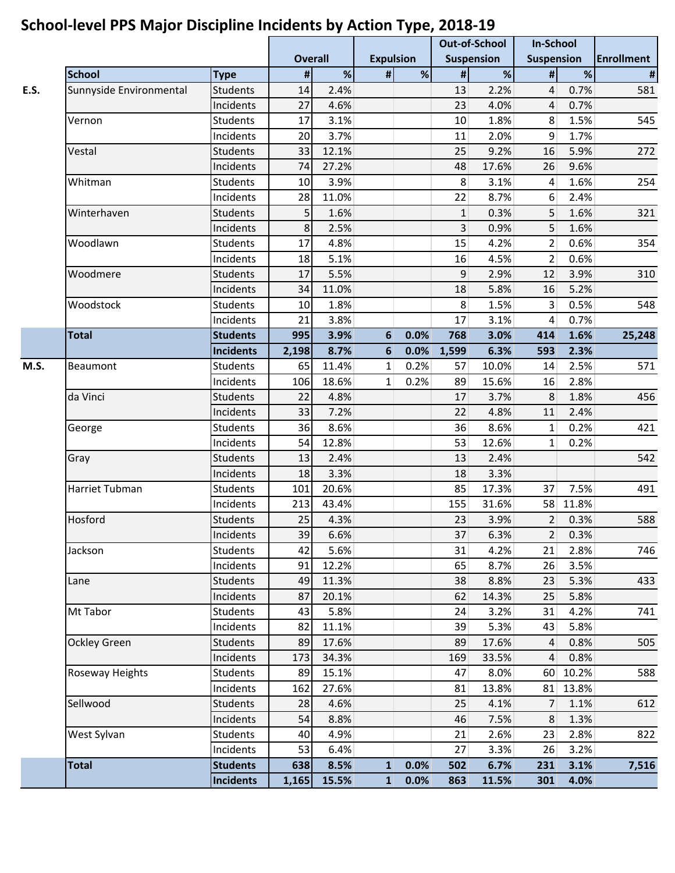|      |                         |                              |                |               | . .              |      | <b>Out-of-School</b> |               | <b>In-School</b>  |              |                |
|------|-------------------------|------------------------------|----------------|---------------|------------------|------|----------------------|---------------|-------------------|--------------|----------------|
|      |                         |                              | <b>Overall</b> |               | <b>Expulsion</b> |      | <b>Suspension</b>    |               | <b>Suspension</b> |              | Enrollment     |
|      | <b>School</b>           | <b>Type</b>                  | $\pmb{\sharp}$ | $\%$          | $\#$             | $\%$ | $\pmb{\#}$           | $\%$          | #                 | $\%$         | $\pmb{\sharp}$ |
| E.S. | Sunnyside Environmental | <b>Students</b>              | 14             | 2.4%          |                  |      | 13                   | 2.2%          | 4                 | 0.7%         | 581            |
|      |                         | Incidents                    | 27             | 4.6%          |                  |      | 23                   | 4.0%          | 4                 | 0.7%         |                |
|      | Vernon                  | <b>Students</b>              | 17             | 3.1%          |                  |      | 10                   | 1.8%          | 8                 | 1.5%         | 545            |
|      |                         | Incidents                    | 20             | 3.7%          |                  |      | 11                   | 2.0%          | 9                 | 1.7%         |                |
|      | Vestal                  | <b>Students</b>              | 33             | 12.1%         |                  |      | 25                   | 9.2%          | 16                | 5.9%         | 272            |
|      |                         | Incidents                    | 74             | 27.2%         |                  |      | 48                   | 17.6%         | 26                | 9.6%         |                |
|      | Whitman                 | <b>Students</b>              | 10             | 3.9%          |                  |      | 8 <sup>1</sup>       | 3.1%          | 4                 | 1.6%         | 254            |
|      |                         | Incidents                    | 28             | 11.0%         |                  |      | 22                   | 8.7%          | 6                 | 2.4%         |                |
|      | Winterhaven             | <b>Students</b>              | 5              | 1.6%          |                  |      | $\mathbf{1}$         | 0.3%          | 5                 | 1.6%         | 321            |
|      |                         | Incidents                    | 8              | 2.5%          |                  |      | $\overline{3}$       | 0.9%          | 5                 | 1.6%         |                |
|      | Woodlawn                | Students                     | 17             | 4.8%          |                  |      | 15                   | 4.2%          | 2                 | 0.6%         | 354            |
|      |                         | Incidents                    | 18             | 5.1%          |                  |      | 16                   | 4.5%          | $\overline{2}$    | 0.6%         |                |
|      | Woodmere                | <b>Students</b>              | 17             | 5.5%          |                  |      | 9                    | 2.9%          | 12                | 3.9%         | 310            |
|      |                         | Incidents                    | 34             | 11.0%         |                  |      | 18                   | 5.8%          | 16                | 5.2%         |                |
|      | Woodstock               | <b>Students</b>              | 10             | 1.8%          |                  |      | 8                    | 1.5%          | 3                 | 0.5%         | 548            |
|      |                         | Incidents                    | 21             | 3.8%          |                  |      | 17                   | 3.1%          | 4                 | 0.7%         |                |
|      | <b>Total</b>            | <b>Students</b>              | 995            | 3.9%          | 6                | 0.0% | 768                  | 3.0%          | 414               | 1.6%         | 25,248         |
|      |                         | <b>Incidents</b>             | 2,198          | 8.7%          | 6                | 0.0% | 1,599                | 6.3%          | 593               | 2.3%         |                |
| M.S. | Beaumont                | <b>Students</b>              | 65             | 11.4%         | 1                | 0.2% | 57                   | 10.0%         | 14                | 2.5%         | 571            |
|      |                         | Incidents                    | 106            | 18.6%         | $\mathbf{1}$     | 0.2% | 89                   | 15.6%         | 16                | 2.8%         |                |
|      | da Vinci                | <b>Students</b>              | 22             | 4.8%          |                  |      | 17                   | 3.7%          | 8                 | 1.8%         | 456            |
|      |                         | Incidents                    | 33             | 7.2%          |                  |      | 22                   | 4.8%          | 11                | 2.4%         |                |
|      | George                  | <b>Students</b>              | 36             | 8.6%          |                  |      | 36                   | 8.6%          | $\mathbf{1}$      | 0.2%         | 421            |
|      |                         | Incidents                    | 54             | 12.8%         |                  |      | 53                   | 12.6%         | 1                 | 0.2%         |                |
|      | Gray                    | <b>Students</b>              | 13             | 2.4%          |                  |      | 13                   | 2.4%          |                   |              | 542            |
|      |                         | Incidents                    | 18             | 3.3%          |                  |      | 18                   | 3.3%          |                   |              |                |
|      | Harriet Tubman          | <b>Students</b>              | 101            | 20.6%         |                  |      | 85                   | 17.3%         | 37                | 7.5%         | 491            |
|      |                         | Incidents                    | 213            | 43.4%         |                  |      | 155                  | 31.6%         | 58                | 11.8%        |                |
|      | Hosford                 | Students                     | 25             | 4.3%          |                  |      | 23                   | 3.9%          | $\overline{2}$    | 0.3%         | 588            |
|      |                         | Incidents                    | 39             | 6.6%          |                  |      | 37                   | 6.3%          | 2                 | 0.3%         |                |
|      | Jackson                 | <b>Students</b>              | 42             | 5.6%          |                  |      | 31                   | 4.2%          | 21                | 2.8%         | 746            |
|      |                         | Incidents                    | 91             | 12.2%         |                  |      | 65                   | 8.7%          | 26                | 3.5%         |                |
|      | Lane                    | Students                     | 49             | 11.3%         |                  |      | 38                   | 8.8%          | 23                | 5.3%         | 433            |
|      |                         | Incidents                    | 87             | 20.1%         |                  |      | 62                   | 14.3%         | 25                | 5.8%         |                |
|      | Mt Tabor                | Students                     | 43             | 5.8%<br>11.1% |                  |      | 24                   | 3.2%          | 31                | 4.2%         | 741            |
|      | Ockley Green            | Incidents<br><b>Students</b> | 82<br>89       | 17.6%         |                  |      | 39<br>89             | 5.3%<br>17.6% | 43                | 5.8%<br>0.8% |                |
|      |                         | Incidents                    | 173            | 34.3%         |                  |      | 169                  | 33.5%         | 4<br>4            | 0.8%         | 505            |
|      | Roseway Heights         | Students                     | 89             | 15.1%         |                  |      | 47                   | 8.0%          | 60                | 10.2%        | 588            |
|      |                         | Incidents                    | 162            | 27.6%         |                  |      | 81                   | 13.8%         | 81                | 13.8%        |                |
|      | Sellwood                | Students                     | 28             | 4.6%          |                  |      | 25                   | 4.1%          |                   | 1.1%         |                |
|      |                         | Incidents                    | 54             | 8.8%          |                  |      | 46                   | 7.5%          | 7<br>8            | 1.3%         | 612            |
|      | West Sylvan             | Students                     | 40             | 4.9%          |                  |      | 21                   | 2.6%          | 23                | 2.8%         | 822            |
|      |                         | Incidents                    | 53             | 6.4%          |                  |      | 27                   | 3.3%          | 26                | 3.2%         |                |
|      | <b>Total</b>            | <b>Students</b>              | 638            | 8.5%          | $\mathbf{1}$     | 0.0% | 502                  | 6.7%          | 231               | 3.1%         | 7,516          |
|      |                         | <b>Incidents</b>             | 1,165          | 15.5%         | $\mathbf{1}$     | 0.0% | 863                  | 11.5%         | 301               | 4.0%         |                |
|      |                         |                              |                |               |                  |      |                      |               |                   |              |                |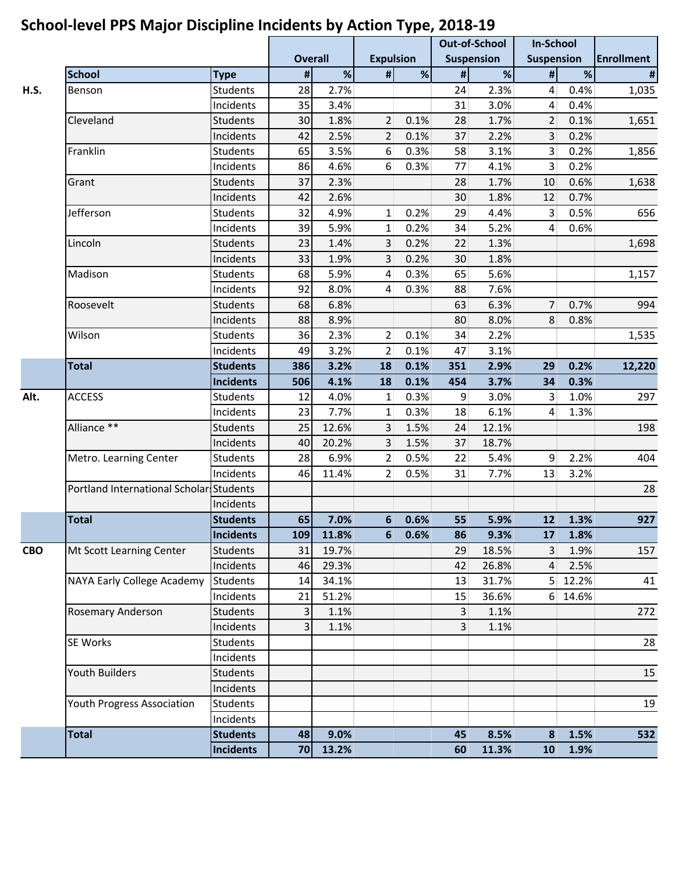|            |                                         |                  |                |       | . .              |                  | <b>Out-of-School</b> |                   | <b>In-School</b>  |         |                   |
|------------|-----------------------------------------|------------------|----------------|-------|------------------|------------------|----------------------|-------------------|-------------------|---------|-------------------|
|            |                                         |                  | <b>Overall</b> |       |                  | <b>Expulsion</b> |                      | <b>Suspension</b> | <b>Suspension</b> |         | <b>Enrollment</b> |
|            | <b>School</b>                           | <b>Type</b>      | $\pmb{\sharp}$ | %     | $\pmb{\#}$       | %                | $\pmb{\#}$           | %                 | #                 | %       | $\pmb{\sharp}$    |
| H.S.       | <b>Benson</b>                           | <b>Students</b>  | 28             | 2.7%  |                  |                  | 24                   | 2.3%              | 4                 | 0.4%    | 1,035             |
|            |                                         | Incidents        | 35             | 3.4%  |                  |                  | 31                   | 3.0%              | 4                 | 0.4%    |                   |
|            | Cleveland                               | <b>Students</b>  | 30             | 1.8%  | $\overline{2}$   | 0.1%             | 28                   | 1.7%              | 2                 | 0.1%    | 1,651             |
|            |                                         | Incidents        | 42             | 2.5%  | $\overline{2}$   | 0.1%             | 37                   | 2.2%              | 3                 | 0.2%    |                   |
|            | Franklin                                | <b>Students</b>  | 65             | 3.5%  | 6                | 0.3%             | 58                   | 3.1%              | 3                 | 0.2%    | 1,856             |
|            |                                         | Incidents        | 86             | 4.6%  | 6                | 0.3%             | 77                   | 4.1%              | 3                 | 0.2%    |                   |
|            | Grant                                   | <b>Students</b>  | 37             | 2.3%  |                  |                  | 28                   | 1.7%              | 10                | 0.6%    | 1,638             |
|            |                                         | Incidents        | 42             | 2.6%  |                  |                  | 30                   | 1.8%              | 12                | 0.7%    |                   |
|            | Jefferson                               | <b>Students</b>  | 32             | 4.9%  | 1                | 0.2%             | 29                   | 4.4%              | 3                 | 0.5%    | 656               |
|            |                                         | Incidents        | 39             | 5.9%  | $\mathbf{1}$     | 0.2%             | 34                   | 5.2%              | 4                 | 0.6%    |                   |
|            | Lincoln                                 | <b>Students</b>  | 23             | 1.4%  | 3                | 0.2%             | 22                   | 1.3%              |                   |         | 1,698             |
|            |                                         | Incidents        | 33             | 1.9%  | 3                | 0.2%             | 30                   | 1.8%              |                   |         |                   |
|            | Madison                                 | <b>Students</b>  | 68             | 5.9%  | 4                | 0.3%             | 65                   | 5.6%              |                   |         | 1,157             |
|            |                                         | Incidents        | 92             | 8.0%  | 4                | 0.3%             | 88                   | 7.6%              |                   |         |                   |
|            | Roosevelt                               | <b>Students</b>  | 68             | 6.8%  |                  |                  | 63                   | 6.3%              | 7                 | 0.7%    | 994               |
|            |                                         | Incidents        | 88             | 8.9%  |                  |                  | 80                   | 8.0%              | 8                 | 0.8%    |                   |
|            | Wilson                                  | Students         | 36             | 2.3%  | $\overline{2}$   | 0.1%             | 34                   | 2.2%              |                   |         | 1,535             |
|            |                                         | Incidents        | 49             | 3.2%  | 2                | 0.1%             | 47                   | 3.1%              |                   |         |                   |
|            | <b>Total</b>                            | <b>Students</b>  | 386            | 3.2%  | 18               | 0.1%             | 351                  | 2.9%              | 29                | 0.2%    | 12,220            |
|            |                                         | <b>Incidents</b> | 506            | 4.1%  | 18               | 0.1%             | 454                  | 3.7%              | 34                | 0.3%    |                   |
| Alt.       | <b>ACCESS</b>                           | Students         | 12             | 4.0%  | 1                | 0.3%             | 9 <sup>°</sup>       | 3.0%              | 3                 | 1.0%    | 297               |
|            |                                         | Incidents        | 23             | 7.7%  | 1                | 0.3%             | 18                   | 6.1%              | 4                 | 1.3%    |                   |
|            | Alliance **<br>Metro. Learning Center   | <b>Students</b>  | 25             | 12.6% | 3                | 1.5%             | 24                   | 12.1%             |                   |         | 198               |
|            |                                         | Incidents        | 40             | 20.2% | 3                | 1.5%             | 37                   | 18.7%             |                   |         |                   |
|            |                                         | Students         | 28             | 6.9%  | 2                | 0.5%             | 22                   | 5.4%              | 9                 | 2.2%    | 404               |
|            |                                         | Incidents        | 46             | 11.4% | $\overline{2}$   | 0.5%             | 31                   | 7.7%              | 13                | 3.2%    |                   |
|            | Portland International Scholar Students |                  |                |       |                  |                  |                      |                   |                   |         | 28                |
|            |                                         | Incidents        |                |       |                  |                  |                      |                   |                   |         |                   |
|            | <b>Total</b>                            | <b>Students</b>  | 65             | 7.0%  | $6 \overline{6}$ | 0.6%             | 55                   | 5.9%              | 12                | 1.3%    | 927               |
|            |                                         | <b>Incidents</b> | 109            | 11.8% | 6                | 0.6%             | 86                   | 9.3%              | 17                | 1.8%    |                   |
| <b>CBO</b> | Mt Scott Learning Center                | Students         | 31             | 19.7% |                  |                  | 29                   | 18.5%             | 3                 | 1.9%    | 157               |
|            |                                         | Incidents        | 46             | 29.3% |                  |                  | 42                   | 26.8%             | 4                 | 2.5%    |                   |
|            | NAYA Early College Academy              | Students         | 14             | 34.1% |                  |                  | 13                   | 31.7%             |                   | 5 12.2% | 41                |
|            |                                         | Incidents        | 21             | 51.2% |                  |                  | 15                   | 36.6%             |                   | 6 14.6% |                   |
|            | Rosemary Anderson                       | <b>Students</b>  | 3              | 1.1%  |                  |                  | 3                    | 1.1%              |                   |         | 272               |
|            |                                         | Incidents        | $\overline{3}$ | 1.1%  |                  |                  | $\overline{3}$       | 1.1%              |                   |         |                   |
|            | SE Works                                | <b>Students</b>  |                |       |                  |                  |                      |                   |                   |         | 28                |
|            |                                         | Incidents        |                |       |                  |                  |                      |                   |                   |         |                   |
|            | <b>Youth Builders</b>                   | Students         |                |       |                  |                  |                      |                   |                   |         | 15                |
|            |                                         | Incidents        |                |       |                  |                  |                      |                   |                   |         |                   |
|            | Youth Progress Association              | <b>Students</b>  |                |       |                  |                  |                      |                   |                   |         | 19                |
|            |                                         | Incidents        |                |       |                  |                  |                      |                   |                   |         |                   |
|            | <b>Total</b>                            | <b>Students</b>  | 48             | 9.0%  |                  |                  | 45                   | 8.5%              | 8                 | 1.5%    | 532               |
|            |                                         | <b>Incidents</b> | 70             | 13.2% |                  |                  | 60                   | 11.3%             | 10 <sup>1</sup>   | 1.9%    |                   |